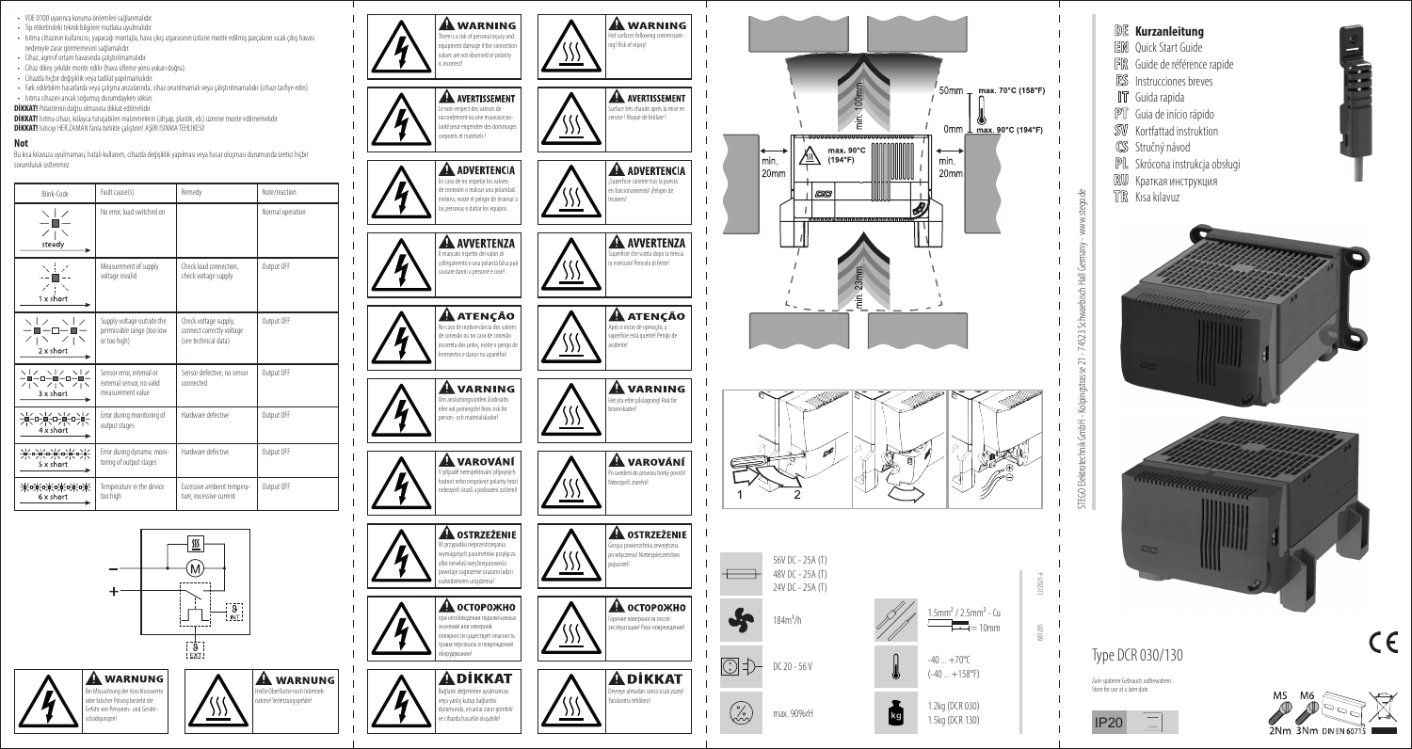

**Not**

sorumluluk üstlenmez.

 $\times$  1  $\times$  $Z + N$ 

steady 人士之 منافيات シモマ  $1 \times short$ 

 $\begin{array}{c}\n\diagup|\\
-\blacksquare-\square-\square-\blacksquare-\\
-\blacksquare-\square-\blacksquare-\end{array}$ 

 $Z_1 \times Z_1 \times$  $2 \times short$ 

ヽ | ノ ヽ | ノ ヽ | ノ<br>一■一ロー■一ロー■一<br>ノ | ヽ ノ | ヽ ノ | ヽ

3 x short

ヽ| ノ \_ ヽ| ノ \_ ヽ| ノ<br>━■━ロ━■━ロ━■━ロ━■━<br>/ | ヽ / | ヽ / | ヽ / | ヽ<br> 4 x short

米吃长吃长吃长

米米米米米米

6 x short

 $5 \times short$ 

too high

schädigungen!